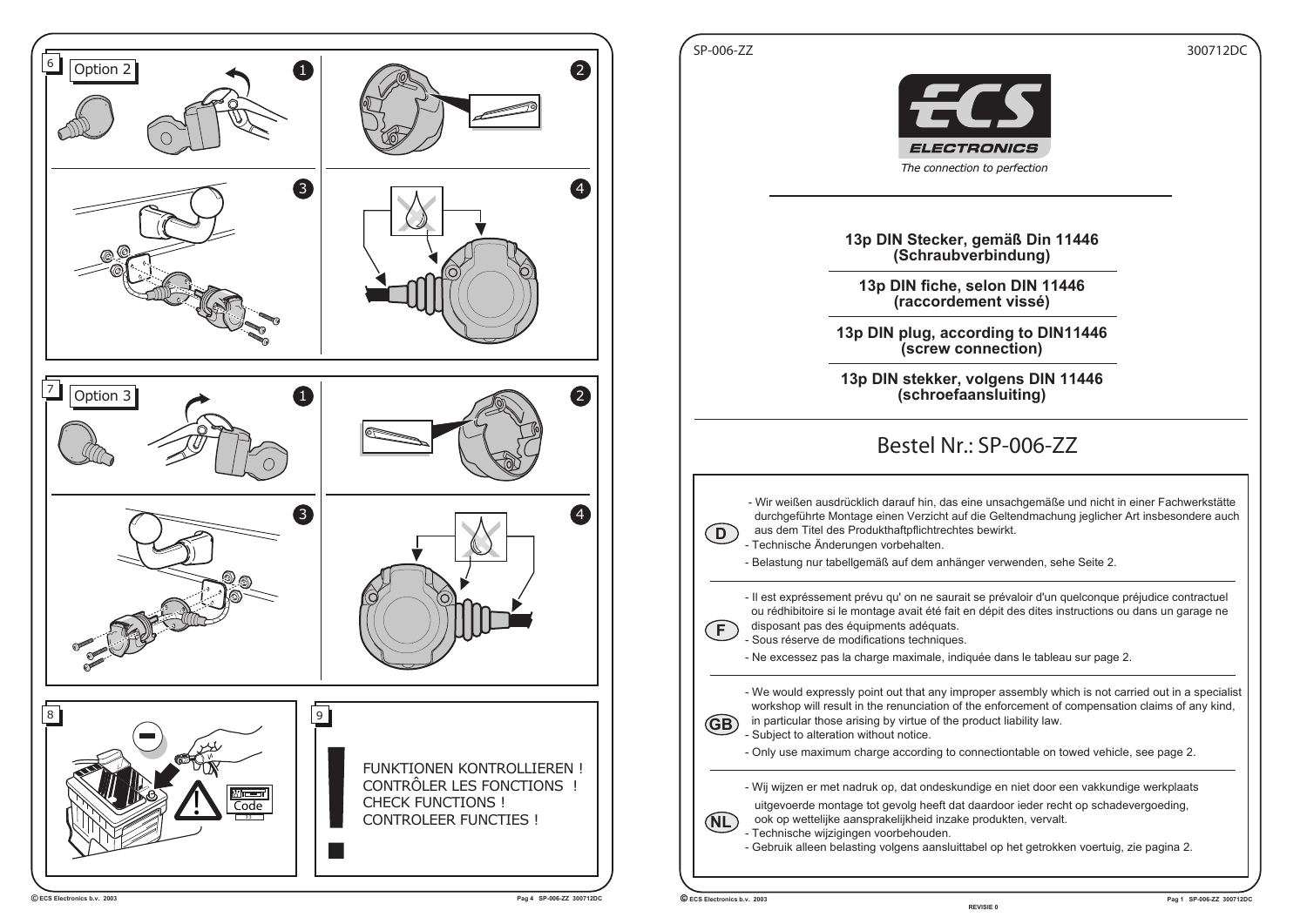

**REVISIE 0**